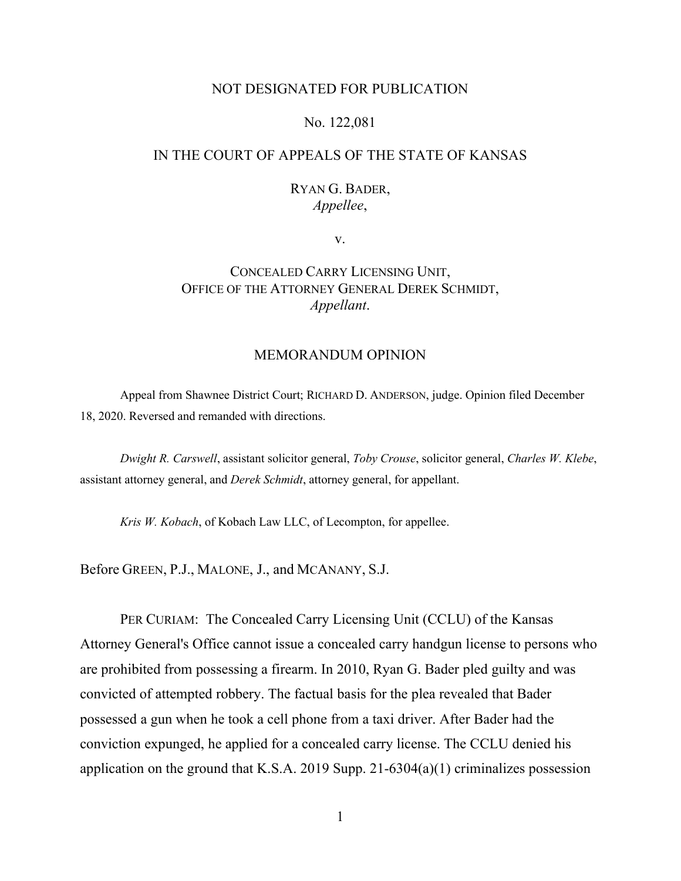### NOT DESIGNATED FOR PUBLICATION

### No. 122,081

# IN THE COURT OF APPEALS OF THE STATE OF KANSAS

## RYAN G. BADER, *Appellee*,

v.

# CONCEALED CARRY LICENSING UNIT, OFFICE OF THE ATTORNEY GENERAL DEREK SCHMIDT, *Appellant*.

### MEMORANDUM OPINION

Appeal from Shawnee District Court; RICHARD D. ANDERSON, judge. Opinion filed December 18, 2020. Reversed and remanded with directions.

*Dwight R. Carswell*, assistant solicitor general, *Toby Crouse*, solicitor general, *Charles W. Klebe*, assistant attorney general, and *Derek Schmidt*, attorney general, for appellant.

*Kris W. Kobach*, of Kobach Law LLC, of Lecompton, for appellee.

Before GREEN, P.J., MALONE, J., and MCANANY, S.J.

PER CURIAM: The Concealed Carry Licensing Unit (CCLU) of the Kansas Attorney General's Office cannot issue a concealed carry handgun license to persons who are prohibited from possessing a firearm. In 2010, Ryan G. Bader pled guilty and was convicted of attempted robbery. The factual basis for the plea revealed that Bader possessed a gun when he took a cell phone from a taxi driver. After Bader had the conviction expunged, he applied for a concealed carry license. The CCLU denied his application on the ground that K.S.A. 2019 Supp. 21-6304(a)(1) criminalizes possession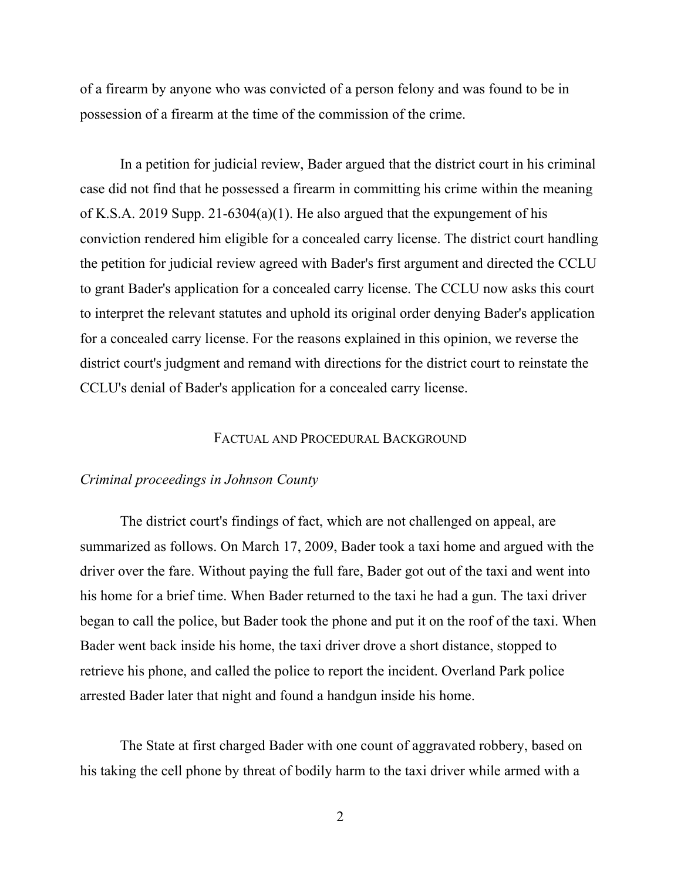of a firearm by anyone who was convicted of a person felony and was found to be in possession of a firearm at the time of the commission of the crime.

In a petition for judicial review, Bader argued that the district court in his criminal case did not find that he possessed a firearm in committing his crime within the meaning of K.S.A. 2019 Supp. 21-6304(a)(1). He also argued that the expungement of his conviction rendered him eligible for a concealed carry license. The district court handling the petition for judicial review agreed with Bader's first argument and directed the CCLU to grant Bader's application for a concealed carry license. The CCLU now asks this court to interpret the relevant statutes and uphold its original order denying Bader's application for a concealed carry license. For the reasons explained in this opinion, we reverse the district court's judgment and remand with directions for the district court to reinstate the CCLU's denial of Bader's application for a concealed carry license.

#### FACTUAL AND PROCEDURAL BACKGROUND

## *Criminal proceedings in Johnson County*

The district court's findings of fact, which are not challenged on appeal, are summarized as follows. On March 17, 2009, Bader took a taxi home and argued with the driver over the fare. Without paying the full fare, Bader got out of the taxi and went into his home for a brief time. When Bader returned to the taxi he had a gun. The taxi driver began to call the police, but Bader took the phone and put it on the roof of the taxi. When Bader went back inside his home, the taxi driver drove a short distance, stopped to retrieve his phone, and called the police to report the incident. Overland Park police arrested Bader later that night and found a handgun inside his home.

The State at first charged Bader with one count of aggravated robbery, based on his taking the cell phone by threat of bodily harm to the taxi driver while armed with a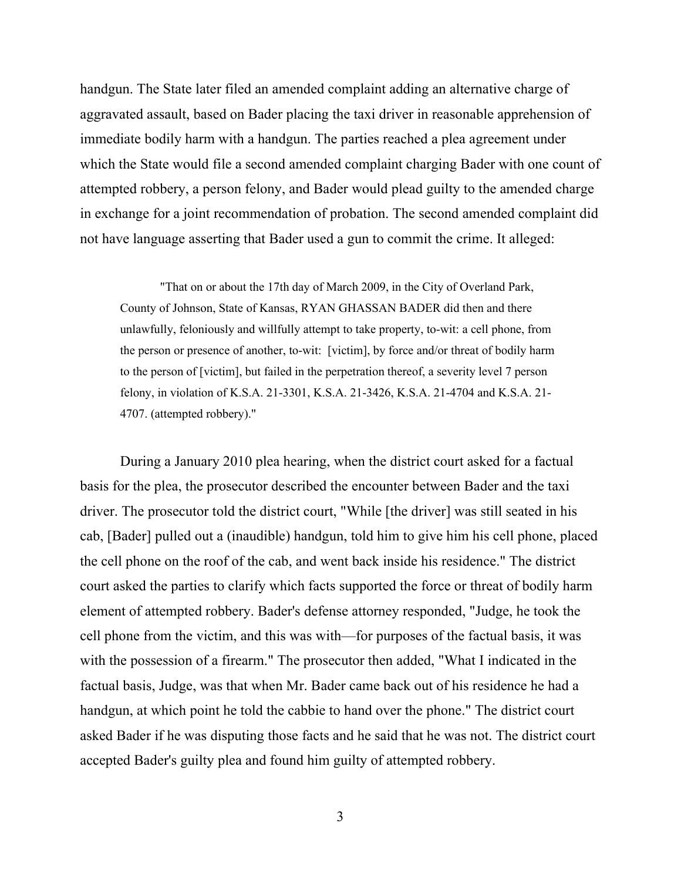handgun. The State later filed an amended complaint adding an alternative charge of aggravated assault, based on Bader placing the taxi driver in reasonable apprehension of immediate bodily harm with a handgun. The parties reached a plea agreement under which the State would file a second amended complaint charging Bader with one count of attempted robbery, a person felony, and Bader would plead guilty to the amended charge in exchange for a joint recommendation of probation. The second amended complaint did not have language asserting that Bader used a gun to commit the crime. It alleged:

"That on or about the 17th day of March 2009, in the City of Overland Park, County of Johnson, State of Kansas, RYAN GHASSAN BADER did then and there unlawfully, feloniously and willfully attempt to take property, to-wit: a cell phone, from the person or presence of another, to-wit: [victim], by force and/or threat of bodily harm to the person of [victim], but failed in the perpetration thereof, a severity level 7 person felony, in violation of K.S.A. 21-3301, K.S.A. 21-3426, K.S.A. 21-4704 and K.S.A. 21- 4707. (attempted robbery)."

During a January 2010 plea hearing, when the district court asked for a factual basis for the plea, the prosecutor described the encounter between Bader and the taxi driver. The prosecutor told the district court, "While [the driver] was still seated in his cab, [Bader] pulled out a (inaudible) handgun, told him to give him his cell phone, placed the cell phone on the roof of the cab, and went back inside his residence." The district court asked the parties to clarify which facts supported the force or threat of bodily harm element of attempted robbery. Bader's defense attorney responded, "Judge, he took the cell phone from the victim, and this was with—for purposes of the factual basis, it was with the possession of a firearm." The prosecutor then added, "What I indicated in the factual basis, Judge, was that when Mr. Bader came back out of his residence he had a handgun, at which point he told the cabbie to hand over the phone." The district court asked Bader if he was disputing those facts and he said that he was not. The district court accepted Bader's guilty plea and found him guilty of attempted robbery.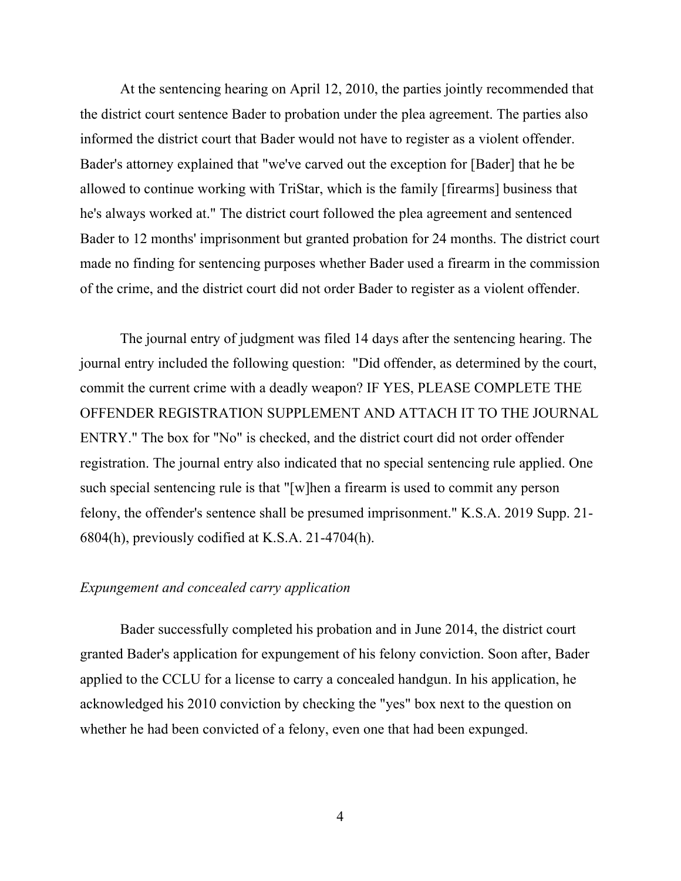At the sentencing hearing on April 12, 2010, the parties jointly recommended that the district court sentence Bader to probation under the plea agreement. The parties also informed the district court that Bader would not have to register as a violent offender. Bader's attorney explained that "we've carved out the exception for [Bader] that he be allowed to continue working with TriStar, which is the family [firearms] business that he's always worked at." The district court followed the plea agreement and sentenced Bader to 12 months' imprisonment but granted probation for 24 months. The district court made no finding for sentencing purposes whether Bader used a firearm in the commission of the crime, and the district court did not order Bader to register as a violent offender.

The journal entry of judgment was filed 14 days after the sentencing hearing. The journal entry included the following question: "Did offender, as determined by the court, commit the current crime with a deadly weapon? IF YES, PLEASE COMPLETE THE OFFENDER REGISTRATION SUPPLEMENT AND ATTACH IT TO THE JOURNAL ENTRY." The box for "No" is checked, and the district court did not order offender registration. The journal entry also indicated that no special sentencing rule applied. One such special sentencing rule is that "[w]hen a firearm is used to commit any person felony, the offender's sentence shall be presumed imprisonment." K.S.A. 2019 Supp. 21- 6804(h), previously codified at K.S.A. 21-4704(h).

### *Expungement and concealed carry application*

Bader successfully completed his probation and in June 2014, the district court granted Bader's application for expungement of his felony conviction. Soon after, Bader applied to the CCLU for a license to carry a concealed handgun. In his application, he acknowledged his 2010 conviction by checking the "yes" box next to the question on whether he had been convicted of a felony, even one that had been expunged.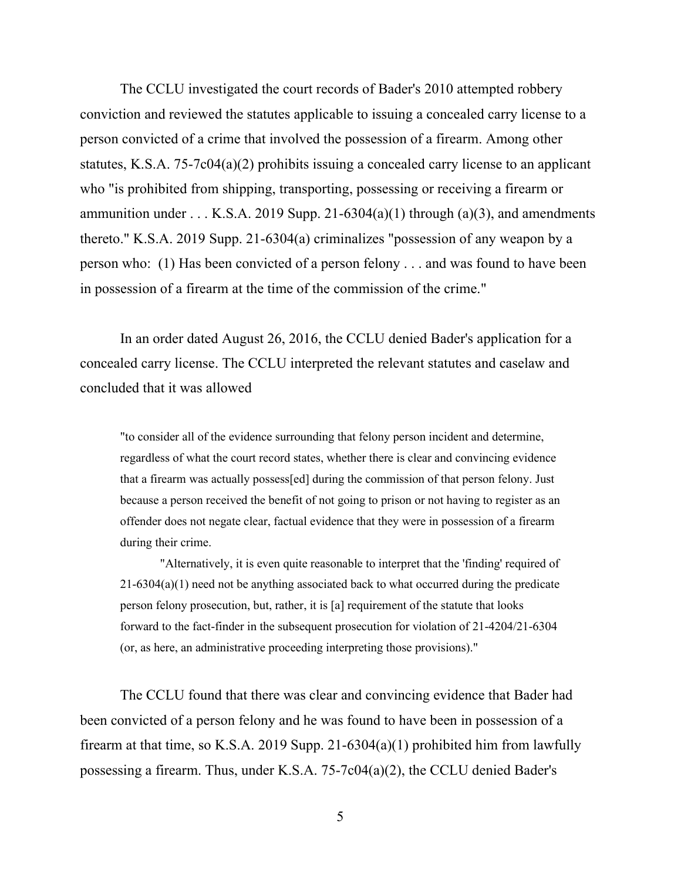The CCLU investigated the court records of Bader's 2010 attempted robbery conviction and reviewed the statutes applicable to issuing a concealed carry license to a person convicted of a crime that involved the possession of a firearm. Among other statutes, K.S.A. 75-7c04(a)(2) prohibits issuing a concealed carry license to an applicant who "is prohibited from shipping, transporting, possessing or receiving a firearm or ammunition under . . . K.S.A. 2019 Supp. 21-6304(a)(1) through (a)(3), and amendments thereto." K.S.A. 2019 Supp. 21-6304(a) criminalizes "possession of any weapon by a person who: (1) Has been convicted of a person felony . . . and was found to have been in possession of a firearm at the time of the commission of the crime."

In an order dated August 26, 2016, the CCLU denied Bader's application for a concealed carry license. The CCLU interpreted the relevant statutes and caselaw and concluded that it was allowed

"to consider all of the evidence surrounding that felony person incident and determine, regardless of what the court record states, whether there is clear and convincing evidence that a firearm was actually possess[ed] during the commission of that person felony. Just because a person received the benefit of not going to prison or not having to register as an offender does not negate clear, factual evidence that they were in possession of a firearm during their crime.

"Alternatively, it is even quite reasonable to interpret that the 'finding' required of 21-6304(a)(1) need not be anything associated back to what occurred during the predicate person felony prosecution, but, rather, it is [a] requirement of the statute that looks forward to the fact-finder in the subsequent prosecution for violation of 21-4204/21-6304 (or, as here, an administrative proceeding interpreting those provisions)."

The CCLU found that there was clear and convincing evidence that Bader had been convicted of a person felony and he was found to have been in possession of a firearm at that time, so K.S.A. 2019 Supp. 21-6304(a)(1) prohibited him from lawfully possessing a firearm. Thus, under K.S.A. 75-7c04(a)(2), the CCLU denied Bader's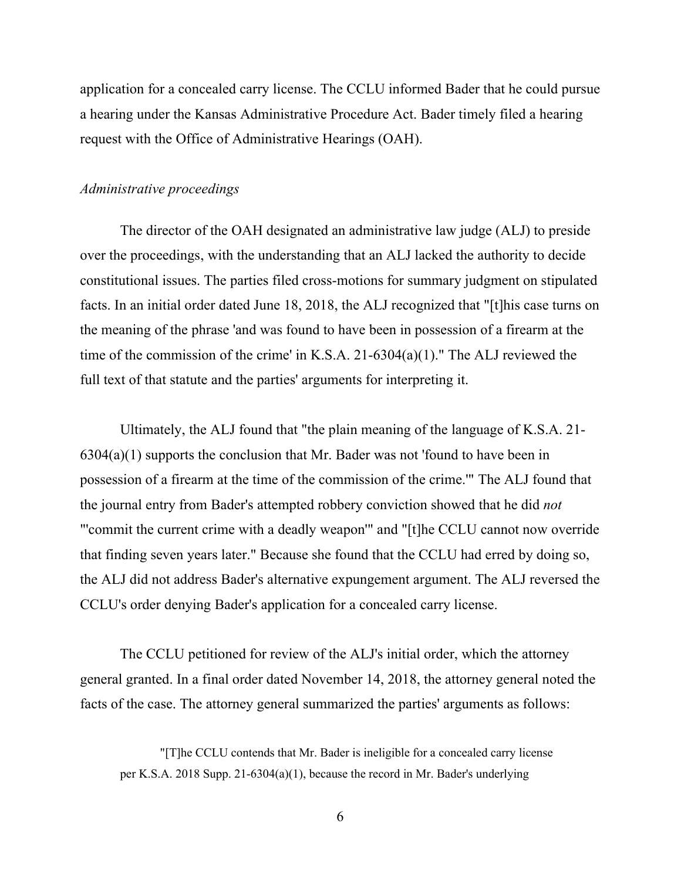application for a concealed carry license. The CCLU informed Bader that he could pursue a hearing under the Kansas Administrative Procedure Act. Bader timely filed a hearing request with the Office of Administrative Hearings (OAH).

### *Administrative proceedings*

The director of the OAH designated an administrative law judge (ALJ) to preside over the proceedings, with the understanding that an ALJ lacked the authority to decide constitutional issues. The parties filed cross-motions for summary judgment on stipulated facts. In an initial order dated June 18, 2018, the ALJ recognized that "[t]his case turns on the meaning of the phrase 'and was found to have been in possession of a firearm at the time of the commission of the crime' in K.S.A. 21-6304(a)(1)." The ALJ reviewed the full text of that statute and the parties' arguments for interpreting it.

Ultimately, the ALJ found that "the plain meaning of the language of K.S.A. 21-  $6304(a)(1)$  supports the conclusion that Mr. Bader was not 'found to have been in possession of a firearm at the time of the commission of the crime.'" The ALJ found that the journal entry from Bader's attempted robbery conviction showed that he did *not* "'commit the current crime with a deadly weapon'" and "[t]he CCLU cannot now override that finding seven years later." Because she found that the CCLU had erred by doing so, the ALJ did not address Bader's alternative expungement argument. The ALJ reversed the CCLU's order denying Bader's application for a concealed carry license.

The CCLU petitioned for review of the ALJ's initial order, which the attorney general granted. In a final order dated November 14, 2018, the attorney general noted the facts of the case. The attorney general summarized the parties' arguments as follows:

<sup>&</sup>quot;[T]he CCLU contends that Mr. Bader is ineligible for a concealed carry license per K.S.A. 2018 Supp. 21-6304(a)(1), because the record in Mr. Bader's underlying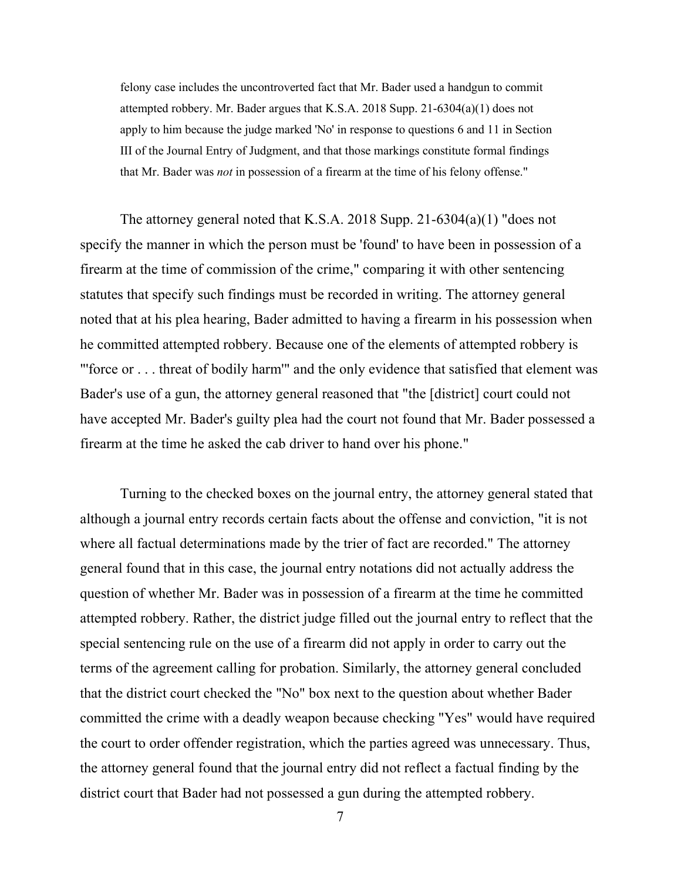felony case includes the uncontroverted fact that Mr. Bader used a handgun to commit attempted robbery. Mr. Bader argues that K.S.A. 2018 Supp. 21-6304(a)(1) does not apply to him because the judge marked 'No' in response to questions 6 and 11 in Section III of the Journal Entry of Judgment, and that those markings constitute formal findings that Mr. Bader was *not* in possession of a firearm at the time of his felony offense."

The attorney general noted that K.S.A. 2018 Supp. 21-6304(a)(1) "does not specify the manner in which the person must be 'found' to have been in possession of a firearm at the time of commission of the crime," comparing it with other sentencing statutes that specify such findings must be recorded in writing. The attorney general noted that at his plea hearing, Bader admitted to having a firearm in his possession when he committed attempted robbery. Because one of the elements of attempted robbery is "'force or . . . threat of bodily harm'" and the only evidence that satisfied that element was Bader's use of a gun, the attorney general reasoned that "the [district] court could not have accepted Mr. Bader's guilty plea had the court not found that Mr. Bader possessed a firearm at the time he asked the cab driver to hand over his phone."

Turning to the checked boxes on the journal entry, the attorney general stated that although a journal entry records certain facts about the offense and conviction, "it is not where all factual determinations made by the trier of fact are recorded." The attorney general found that in this case, the journal entry notations did not actually address the question of whether Mr. Bader was in possession of a firearm at the time he committed attempted robbery. Rather, the district judge filled out the journal entry to reflect that the special sentencing rule on the use of a firearm did not apply in order to carry out the terms of the agreement calling for probation. Similarly, the attorney general concluded that the district court checked the "No" box next to the question about whether Bader committed the crime with a deadly weapon because checking "Yes" would have required the court to order offender registration, which the parties agreed was unnecessary. Thus, the attorney general found that the journal entry did not reflect a factual finding by the district court that Bader had not possessed a gun during the attempted robbery.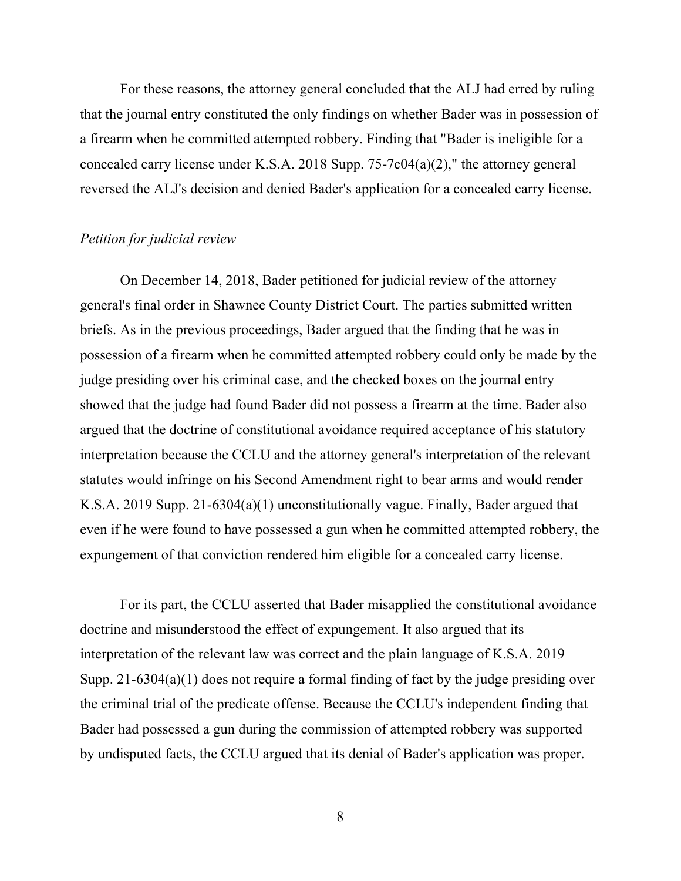For these reasons, the attorney general concluded that the ALJ had erred by ruling that the journal entry constituted the only findings on whether Bader was in possession of a firearm when he committed attempted robbery. Finding that "Bader is ineligible for a concealed carry license under K.S.A. 2018 Supp. 75-7c04(a)(2)," the attorney general reversed the ALJ's decision and denied Bader's application for a concealed carry license.

### *Petition for judicial review*

On December 14, 2018, Bader petitioned for judicial review of the attorney general's final order in Shawnee County District Court. The parties submitted written briefs. As in the previous proceedings, Bader argued that the finding that he was in possession of a firearm when he committed attempted robbery could only be made by the judge presiding over his criminal case, and the checked boxes on the journal entry showed that the judge had found Bader did not possess a firearm at the time. Bader also argued that the doctrine of constitutional avoidance required acceptance of his statutory interpretation because the CCLU and the attorney general's interpretation of the relevant statutes would infringe on his Second Amendment right to bear arms and would render K.S.A. 2019 Supp. 21-6304(a)(1) unconstitutionally vague. Finally, Bader argued that even if he were found to have possessed a gun when he committed attempted robbery, the expungement of that conviction rendered him eligible for a concealed carry license.

For its part, the CCLU asserted that Bader misapplied the constitutional avoidance doctrine and misunderstood the effect of expungement. It also argued that its interpretation of the relevant law was correct and the plain language of K.S.A. 2019 Supp. 21-6304(a)(1) does not require a formal finding of fact by the judge presiding over the criminal trial of the predicate offense. Because the CCLU's independent finding that Bader had possessed a gun during the commission of attempted robbery was supported by undisputed facts, the CCLU argued that its denial of Bader's application was proper.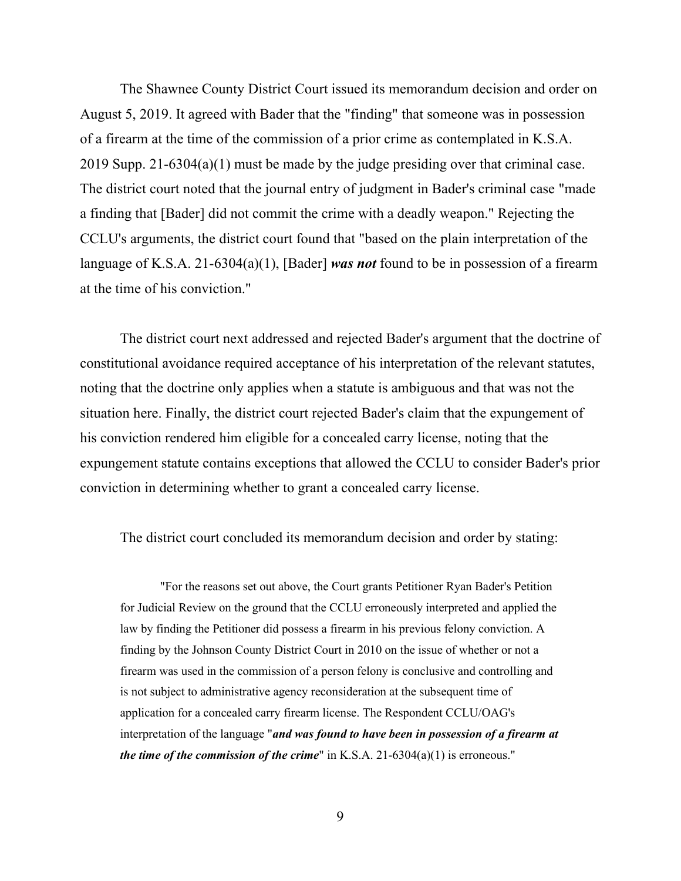The Shawnee County District Court issued its memorandum decision and order on August 5, 2019. It agreed with Bader that the "finding" that someone was in possession of a firearm at the time of the commission of a prior crime as contemplated in K.S.A. 2019 Supp. 21-6304(a)(1) must be made by the judge presiding over that criminal case. The district court noted that the journal entry of judgment in Bader's criminal case "made a finding that [Bader] did not commit the crime with a deadly weapon." Rejecting the CCLU's arguments, the district court found that "based on the plain interpretation of the language of K.S.A. 21-6304(a)(1), [Bader] *was not* found to be in possession of a firearm at the time of his conviction."

The district court next addressed and rejected Bader's argument that the doctrine of constitutional avoidance required acceptance of his interpretation of the relevant statutes, noting that the doctrine only applies when a statute is ambiguous and that was not the situation here. Finally, the district court rejected Bader's claim that the expungement of his conviction rendered him eligible for a concealed carry license, noting that the expungement statute contains exceptions that allowed the CCLU to consider Bader's prior conviction in determining whether to grant a concealed carry license.

The district court concluded its memorandum decision and order by stating:

"For the reasons set out above, the Court grants Petitioner Ryan Bader's Petition for Judicial Review on the ground that the CCLU erroneously interpreted and applied the law by finding the Petitioner did possess a firearm in his previous felony conviction. A finding by the Johnson County District Court in 2010 on the issue of whether or not a firearm was used in the commission of a person felony is conclusive and controlling and is not subject to administrative agency reconsideration at the subsequent time of application for a concealed carry firearm license. The Respondent CCLU/OAG's interpretation of the language "*and was found to have been in possession of a firearm at the time of the commission of the crime*" in K.S.A. 21-6304(a)(1) is erroneous."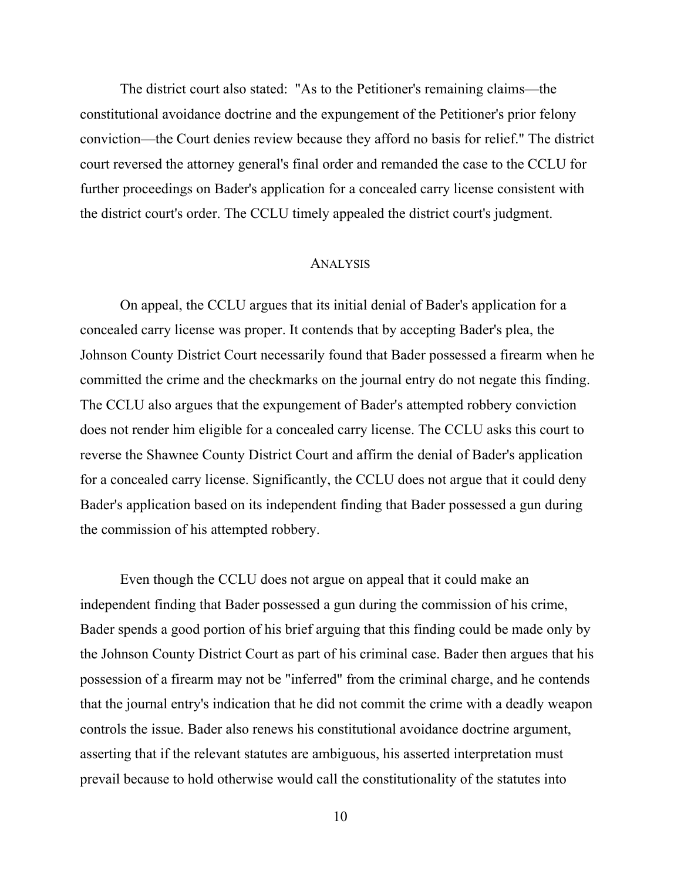The district court also stated: "As to the Petitioner's remaining claims—the constitutional avoidance doctrine and the expungement of the Petitioner's prior felony conviction—the Court denies review because they afford no basis for relief." The district court reversed the attorney general's final order and remanded the case to the CCLU for further proceedings on Bader's application for a concealed carry license consistent with the district court's order. The CCLU timely appealed the district court's judgment.

#### ANALYSIS

On appeal, the CCLU argues that its initial denial of Bader's application for a concealed carry license was proper. It contends that by accepting Bader's plea, the Johnson County District Court necessarily found that Bader possessed a firearm when he committed the crime and the checkmarks on the journal entry do not negate this finding. The CCLU also argues that the expungement of Bader's attempted robbery conviction does not render him eligible for a concealed carry license. The CCLU asks this court to reverse the Shawnee County District Court and affirm the denial of Bader's application for a concealed carry license. Significantly, the CCLU does not argue that it could deny Bader's application based on its independent finding that Bader possessed a gun during the commission of his attempted robbery.

Even though the CCLU does not argue on appeal that it could make an independent finding that Bader possessed a gun during the commission of his crime, Bader spends a good portion of his brief arguing that this finding could be made only by the Johnson County District Court as part of his criminal case. Bader then argues that his possession of a firearm may not be "inferred" from the criminal charge, and he contends that the journal entry's indication that he did not commit the crime with a deadly weapon controls the issue. Bader also renews his constitutional avoidance doctrine argument, asserting that if the relevant statutes are ambiguous, his asserted interpretation must prevail because to hold otherwise would call the constitutionality of the statutes into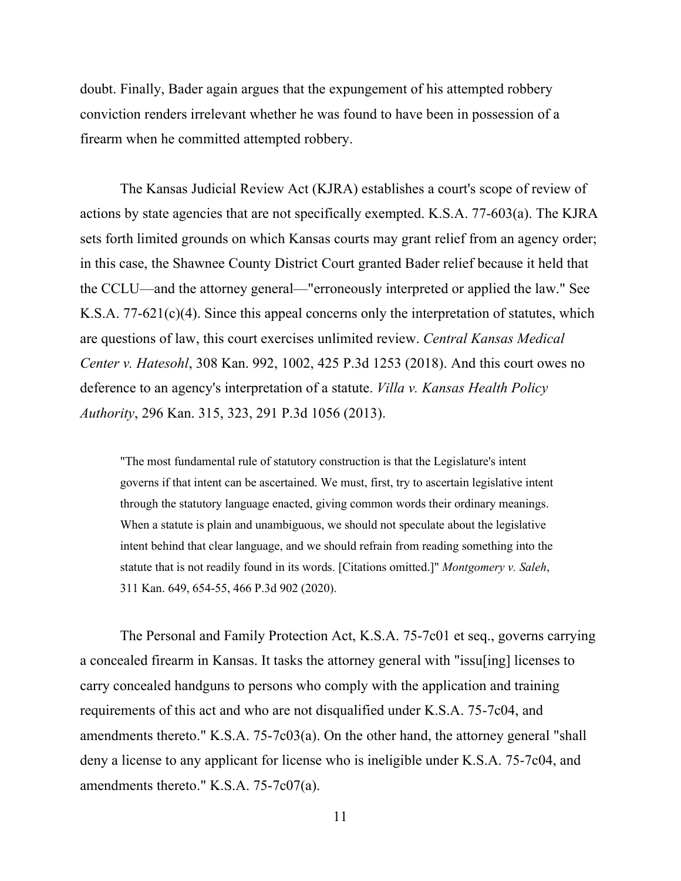doubt. Finally, Bader again argues that the expungement of his attempted robbery conviction renders irrelevant whether he was found to have been in possession of a firearm when he committed attempted robbery.

The Kansas Judicial Review Act (KJRA) establishes a court's scope of review of actions by state agencies that are not specifically exempted. K.S.A. 77-603(a). The KJRA sets forth limited grounds on which Kansas courts may grant relief from an agency order; in this case, the Shawnee County District Court granted Bader relief because it held that the CCLU—and the attorney general—"erroneously interpreted or applied the law." See K.S.A. 77-621(c)(4). Since this appeal concerns only the interpretation of statutes, which are questions of law, this court exercises unlimited review. *Central Kansas Medical Center v. Hatesohl*, 308 Kan. 992, 1002, 425 P.3d 1253 (2018). And this court owes no deference to an agency's interpretation of a statute. *Villa v. Kansas Health Policy Authority*, 296 Kan. 315, 323, 291 P.3d 1056 (2013).

"The most fundamental rule of statutory construction is that the Legislature's intent governs if that intent can be ascertained. We must, first, try to ascertain legislative intent through the statutory language enacted, giving common words their ordinary meanings. When a statute is plain and unambiguous, we should not speculate about the legislative intent behind that clear language, and we should refrain from reading something into the statute that is not readily found in its words. [Citations omitted.]" *Montgomery v. Saleh*, 311 Kan. 649, 654-55, 466 P.3d 902 (2020).

The Personal and Family Protection Act, K.S.A. 75-7c01 et seq., governs carrying a concealed firearm in Kansas. It tasks the attorney general with "issu[ing] licenses to carry concealed handguns to persons who comply with the application and training requirements of this act and who are not disqualified under K.S.A. 75-7c04, and amendments thereto." K.S.A. 75-7c03(a). On the other hand, the attorney general "shall deny a license to any applicant for license who is ineligible under K.S.A. 75-7c04, and amendments thereto." K.S.A. 75-7c07(a).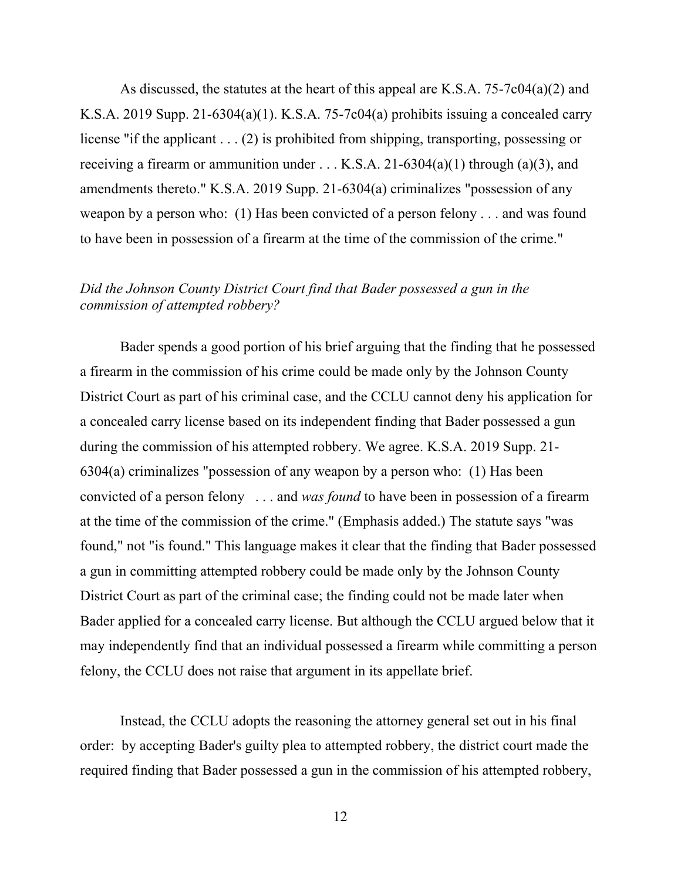As discussed, the statutes at the heart of this appeal are K.S.A. 75-7c04(a)(2) and K.S.A. 2019 Supp. 21-6304(a)(1). K.S.A. 75-7c04(a) prohibits issuing a concealed carry license "if the applicant . . . (2) is prohibited from shipping, transporting, possessing or receiving a firearm or ammunition under  $\dots$  K.S.A. 21-6304(a)(1) through (a)(3), and amendments thereto." K.S.A. 2019 Supp. 21-6304(a) criminalizes "possession of any weapon by a person who: (1) Has been convicted of a person felony . . . and was found to have been in possession of a firearm at the time of the commission of the crime."

# *Did the Johnson County District Court find that Bader possessed a gun in the commission of attempted robbery?*

Bader spends a good portion of his brief arguing that the finding that he possessed a firearm in the commission of his crime could be made only by the Johnson County District Court as part of his criminal case, and the CCLU cannot deny his application for a concealed carry license based on its independent finding that Bader possessed a gun during the commission of his attempted robbery. We agree. K.S.A. 2019 Supp. 21- 6304(a) criminalizes "possession of any weapon by a person who: (1) Has been convicted of a person felony . . . and *was found* to have been in possession of a firearm at the time of the commission of the crime." (Emphasis added.) The statute says "was found," not "is found." This language makes it clear that the finding that Bader possessed a gun in committing attempted robbery could be made only by the Johnson County District Court as part of the criminal case; the finding could not be made later when Bader applied for a concealed carry license. But although the CCLU argued below that it may independently find that an individual possessed a firearm while committing a person felony, the CCLU does not raise that argument in its appellate brief.

Instead, the CCLU adopts the reasoning the attorney general set out in his final order: by accepting Bader's guilty plea to attempted robbery, the district court made the required finding that Bader possessed a gun in the commission of his attempted robbery,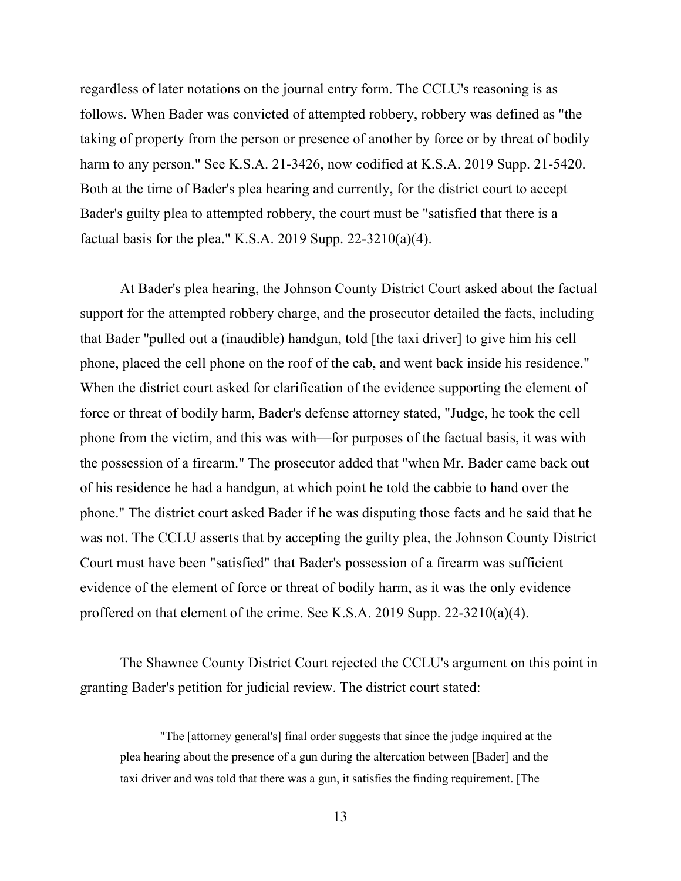regardless of later notations on the journal entry form. The CCLU's reasoning is as follows. When Bader was convicted of attempted robbery, robbery was defined as "the taking of property from the person or presence of another by force or by threat of bodily harm to any person." See K.S.A. 21-3426, now codified at K.S.A. 2019 Supp. 21-5420. Both at the time of Bader's plea hearing and currently, for the district court to accept Bader's guilty plea to attempted robbery, the court must be "satisfied that there is a factual basis for the plea." K.S.A. 2019 Supp.  $22-3210(a)(4)$ .

At Bader's plea hearing, the Johnson County District Court asked about the factual support for the attempted robbery charge, and the prosecutor detailed the facts, including that Bader "pulled out a (inaudible) handgun, told [the taxi driver] to give him his cell phone, placed the cell phone on the roof of the cab, and went back inside his residence." When the district court asked for clarification of the evidence supporting the element of force or threat of bodily harm, Bader's defense attorney stated, "Judge, he took the cell phone from the victim, and this was with—for purposes of the factual basis, it was with the possession of a firearm." The prosecutor added that "when Mr. Bader came back out of his residence he had a handgun, at which point he told the cabbie to hand over the phone." The district court asked Bader if he was disputing those facts and he said that he was not. The CCLU asserts that by accepting the guilty plea, the Johnson County District Court must have been "satisfied" that Bader's possession of a firearm was sufficient evidence of the element of force or threat of bodily harm, as it was the only evidence proffered on that element of the crime. See K.S.A. 2019 Supp. 22-3210(a)(4).

The Shawnee County District Court rejected the CCLU's argument on this point in granting Bader's petition for judicial review. The district court stated:

"The [attorney general's] final order suggests that since the judge inquired at the plea hearing about the presence of a gun during the altercation between [Bader] and the taxi driver and was told that there was a gun, it satisfies the finding requirement. [The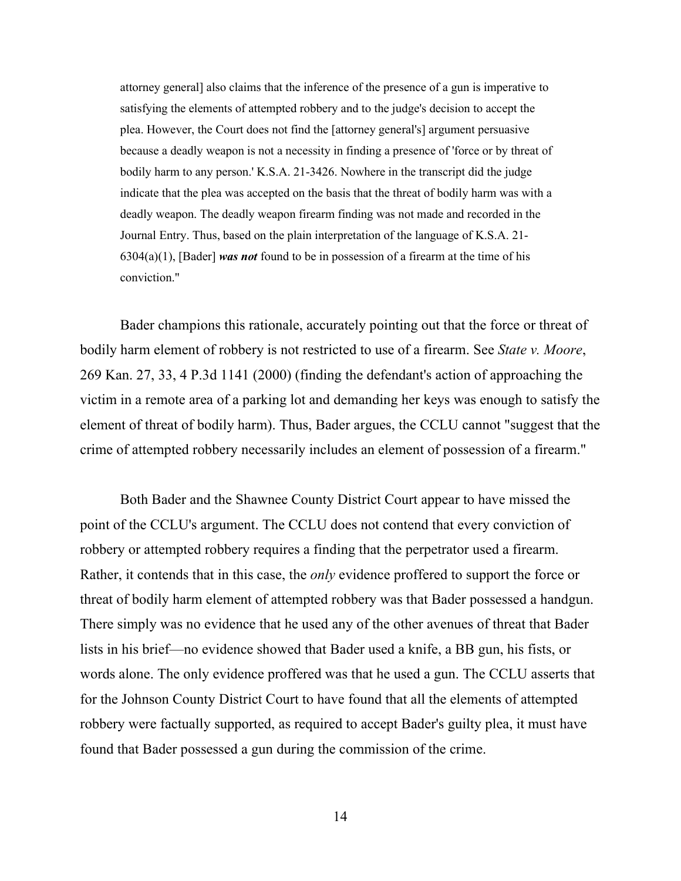attorney general] also claims that the inference of the presence of a gun is imperative to satisfying the elements of attempted robbery and to the judge's decision to accept the plea. However, the Court does not find the [attorney general's] argument persuasive because a deadly weapon is not a necessity in finding a presence of 'force or by threat of bodily harm to any person.' K.S.A. 21-3426. Nowhere in the transcript did the judge indicate that the plea was accepted on the basis that the threat of bodily harm was with a deadly weapon. The deadly weapon firearm finding was not made and recorded in the Journal Entry. Thus, based on the plain interpretation of the language of K.S.A. 21- 6304(a)(1), [Bader] *was not* found to be in possession of a firearm at the time of his conviction."

Bader champions this rationale, accurately pointing out that the force or threat of bodily harm element of robbery is not restricted to use of a firearm. See *State v. Moore*, 269 Kan. 27, 33, 4 P.3d 1141 (2000) (finding the defendant's action of approaching the victim in a remote area of a parking lot and demanding her keys was enough to satisfy the element of threat of bodily harm). Thus, Bader argues, the CCLU cannot "suggest that the crime of attempted robbery necessarily includes an element of possession of a firearm."

Both Bader and the Shawnee County District Court appear to have missed the point of the CCLU's argument. The CCLU does not contend that every conviction of robbery or attempted robbery requires a finding that the perpetrator used a firearm. Rather, it contends that in this case, the *only* evidence proffered to support the force or threat of bodily harm element of attempted robbery was that Bader possessed a handgun. There simply was no evidence that he used any of the other avenues of threat that Bader lists in his brief—no evidence showed that Bader used a knife, a BB gun, his fists, or words alone. The only evidence proffered was that he used a gun. The CCLU asserts that for the Johnson County District Court to have found that all the elements of attempted robbery were factually supported, as required to accept Bader's guilty plea, it must have found that Bader possessed a gun during the commission of the crime.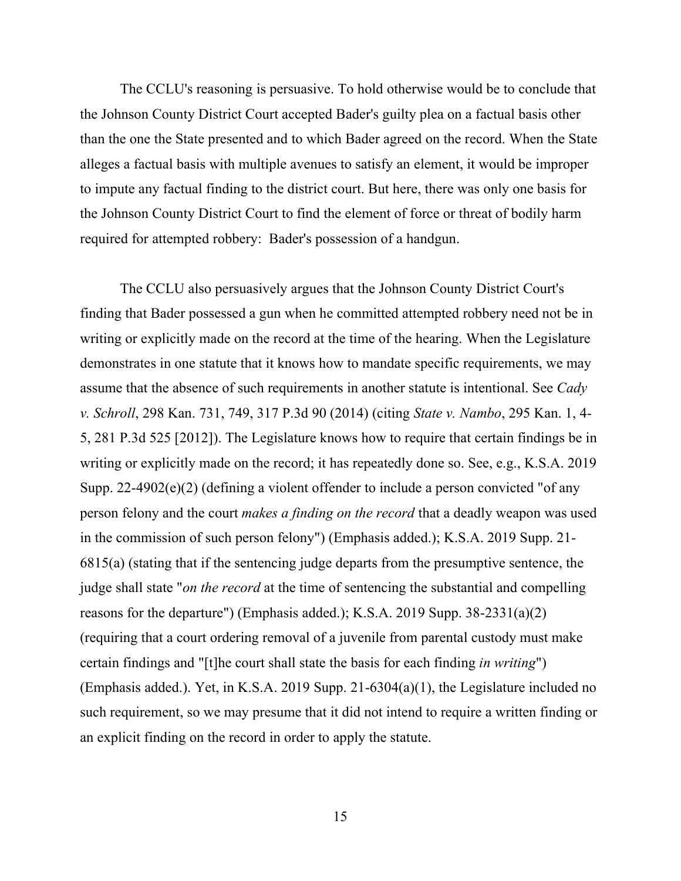The CCLU's reasoning is persuasive. To hold otherwise would be to conclude that the Johnson County District Court accepted Bader's guilty plea on a factual basis other than the one the State presented and to which Bader agreed on the record. When the State alleges a factual basis with multiple avenues to satisfy an element, it would be improper to impute any factual finding to the district court. But here, there was only one basis for the Johnson County District Court to find the element of force or threat of bodily harm required for attempted robbery: Bader's possession of a handgun.

The CCLU also persuasively argues that the Johnson County District Court's finding that Bader possessed a gun when he committed attempted robbery need not be in writing or explicitly made on the record at the time of the hearing. When the Legislature demonstrates in one statute that it knows how to mandate specific requirements, we may assume that the absence of such requirements in another statute is intentional. See *Cady v. Schroll*, 298 Kan. 731, 749, 317 P.3d 90 (2014) (citing *State v. Nambo*, 295 Kan. 1, 4- 5, 281 P.3d 525 [2012]). The Legislature knows how to require that certain findings be in writing or explicitly made on the record; it has repeatedly done so. See, e.g., K.S.A. 2019 Supp. 22-4902(e)(2) (defining a violent offender to include a person convicted "of any person felony and the court *makes a finding on the record* that a deadly weapon was used in the commission of such person felony") (Emphasis added.); K.S.A. 2019 Supp. 21- 6815(a) (stating that if the sentencing judge departs from the presumptive sentence, the judge shall state "*on the record* at the time of sentencing the substantial and compelling reasons for the departure") (Emphasis added.); K.S.A. 2019 Supp. 38-2331(a)(2) (requiring that a court ordering removal of a juvenile from parental custody must make certain findings and "[t]he court shall state the basis for each finding *in writing*") (Emphasis added.). Yet, in K.S.A. 2019 Supp. 21-6304(a)(1), the Legislature included no such requirement, so we may presume that it did not intend to require a written finding or an explicit finding on the record in order to apply the statute.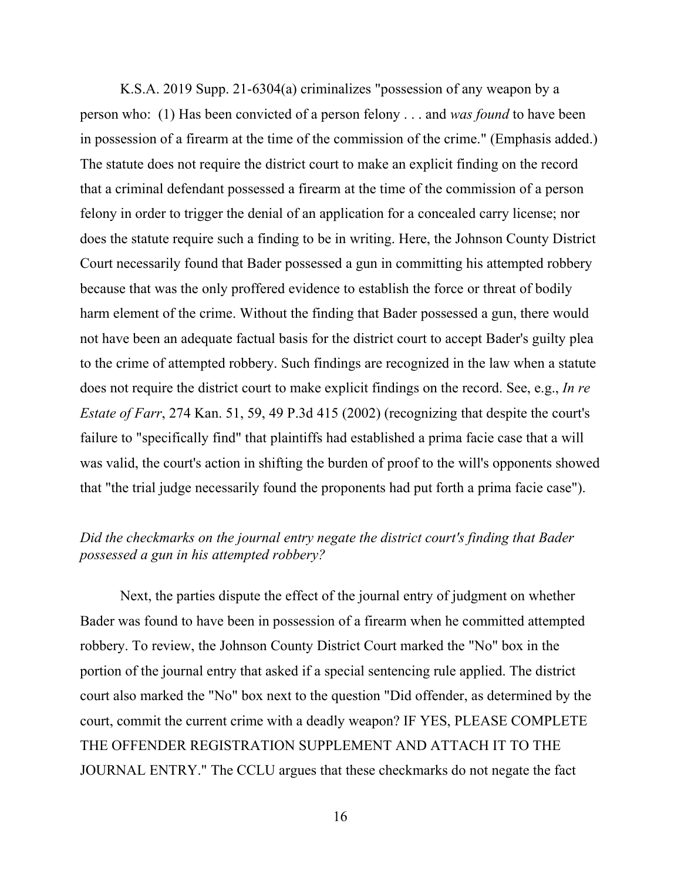K.S.A. 2019 Supp. 21-6304(a) criminalizes "possession of any weapon by a person who: (1) Has been convicted of a person felony . . . and *was found* to have been in possession of a firearm at the time of the commission of the crime." (Emphasis added.) The statute does not require the district court to make an explicit finding on the record that a criminal defendant possessed a firearm at the time of the commission of a person felony in order to trigger the denial of an application for a concealed carry license; nor does the statute require such a finding to be in writing. Here, the Johnson County District Court necessarily found that Bader possessed a gun in committing his attempted robbery because that was the only proffered evidence to establish the force or threat of bodily harm element of the crime. Without the finding that Bader possessed a gun, there would not have been an adequate factual basis for the district court to accept Bader's guilty plea to the crime of attempted robbery. Such findings are recognized in the law when a statute does not require the district court to make explicit findings on the record. See, e.g., *In re Estate of Farr*, 274 Kan. 51, 59, 49 P.3d 415 (2002) (recognizing that despite the court's failure to "specifically find" that plaintiffs had established a prima facie case that a will was valid, the court's action in shifting the burden of proof to the will's opponents showed that "the trial judge necessarily found the proponents had put forth a prima facie case").

## *Did the checkmarks on the journal entry negate the district court's finding that Bader possessed a gun in his attempted robbery?*

Next, the parties dispute the effect of the journal entry of judgment on whether Bader was found to have been in possession of a firearm when he committed attempted robbery. To review, the Johnson County District Court marked the "No" box in the portion of the journal entry that asked if a special sentencing rule applied. The district court also marked the "No" box next to the question "Did offender, as determined by the court, commit the current crime with a deadly weapon? IF YES, PLEASE COMPLETE THE OFFENDER REGISTRATION SUPPLEMENT AND ATTACH IT TO THE JOURNAL ENTRY." The CCLU argues that these checkmarks do not negate the fact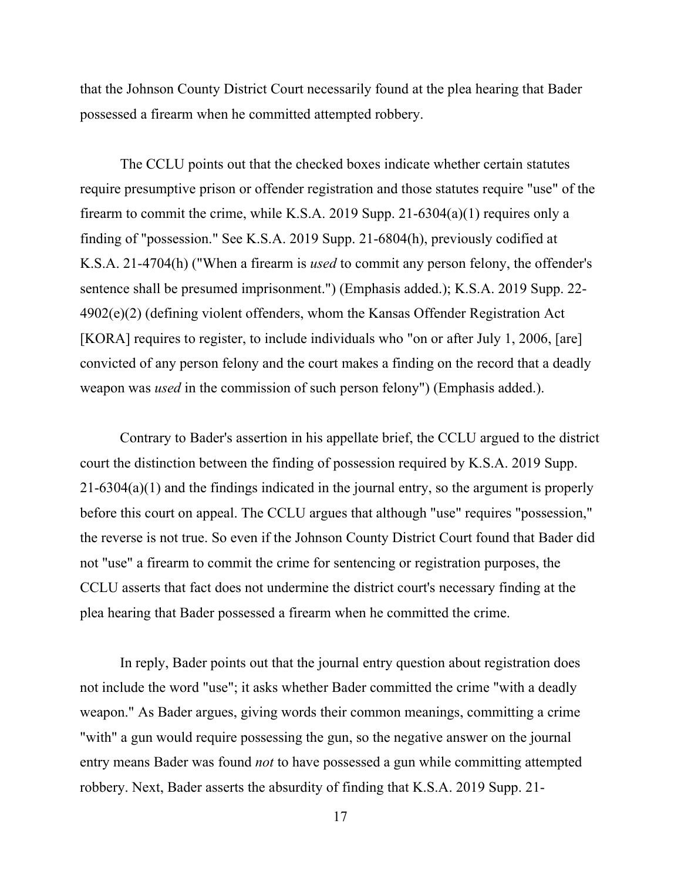that the Johnson County District Court necessarily found at the plea hearing that Bader possessed a firearm when he committed attempted robbery.

The CCLU points out that the checked boxes indicate whether certain statutes require presumptive prison or offender registration and those statutes require "use" of the firearm to commit the crime, while K.S.A. 2019 Supp. 21-6304(a)(1) requires only a finding of "possession." See K.S.A. 2019 Supp. 21-6804(h), previously codified at K.S.A. 21-4704(h) ("When a firearm is *used* to commit any person felony, the offender's sentence shall be presumed imprisonment.") (Emphasis added.); K.S.A. 2019 Supp. 22- 4902(e)(2) (defining violent offenders, whom the Kansas Offender Registration Act [KORA] requires to register, to include individuals who "on or after July 1, 2006, [are] convicted of any person felony and the court makes a finding on the record that a deadly weapon was *used* in the commission of such person felony") (Emphasis added.).

Contrary to Bader's assertion in his appellate brief, the CCLU argued to the district court the distinction between the finding of possession required by K.S.A. 2019 Supp. 21-6304(a)(1) and the findings indicated in the journal entry, so the argument is properly before this court on appeal. The CCLU argues that although "use" requires "possession," the reverse is not true. So even if the Johnson County District Court found that Bader did not "use" a firearm to commit the crime for sentencing or registration purposes, the CCLU asserts that fact does not undermine the district court's necessary finding at the plea hearing that Bader possessed a firearm when he committed the crime.

In reply, Bader points out that the journal entry question about registration does not include the word "use"; it asks whether Bader committed the crime "with a deadly weapon." As Bader argues, giving words their common meanings, committing a crime "with" a gun would require possessing the gun, so the negative answer on the journal entry means Bader was found *not* to have possessed a gun while committing attempted robbery. Next, Bader asserts the absurdity of finding that K.S.A. 2019 Supp. 21-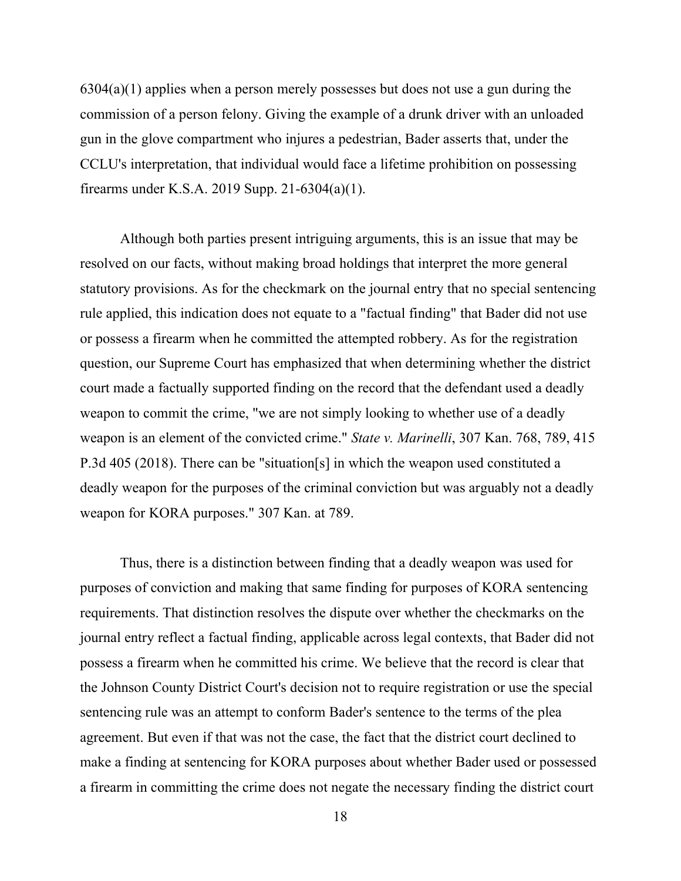6304(a)(1) applies when a person merely possesses but does not use a gun during the commission of a person felony. Giving the example of a drunk driver with an unloaded gun in the glove compartment who injures a pedestrian, Bader asserts that, under the CCLU's interpretation, that individual would face a lifetime prohibition on possessing firearms under K.S.A. 2019 Supp. 21-6304(a)(1).

Although both parties present intriguing arguments, this is an issue that may be resolved on our facts, without making broad holdings that interpret the more general statutory provisions. As for the checkmark on the journal entry that no special sentencing rule applied, this indication does not equate to a "factual finding" that Bader did not use or possess a firearm when he committed the attempted robbery. As for the registration question, our Supreme Court has emphasized that when determining whether the district court made a factually supported finding on the record that the defendant used a deadly weapon to commit the crime, "we are not simply looking to whether use of a deadly weapon is an element of the convicted crime." *State v. Marinelli*, 307 Kan. 768, 789, 415 P.3d 405 (2018). There can be "situation[s] in which the weapon used constituted a deadly weapon for the purposes of the criminal conviction but was arguably not a deadly weapon for KORA purposes." 307 Kan. at 789.

Thus, there is a distinction between finding that a deadly weapon was used for purposes of conviction and making that same finding for purposes of KORA sentencing requirements. That distinction resolves the dispute over whether the checkmarks on the journal entry reflect a factual finding, applicable across legal contexts, that Bader did not possess a firearm when he committed his crime. We believe that the record is clear that the Johnson County District Court's decision not to require registration or use the special sentencing rule was an attempt to conform Bader's sentence to the terms of the plea agreement. But even if that was not the case, the fact that the district court declined to make a finding at sentencing for KORA purposes about whether Bader used or possessed a firearm in committing the crime does not negate the necessary finding the district court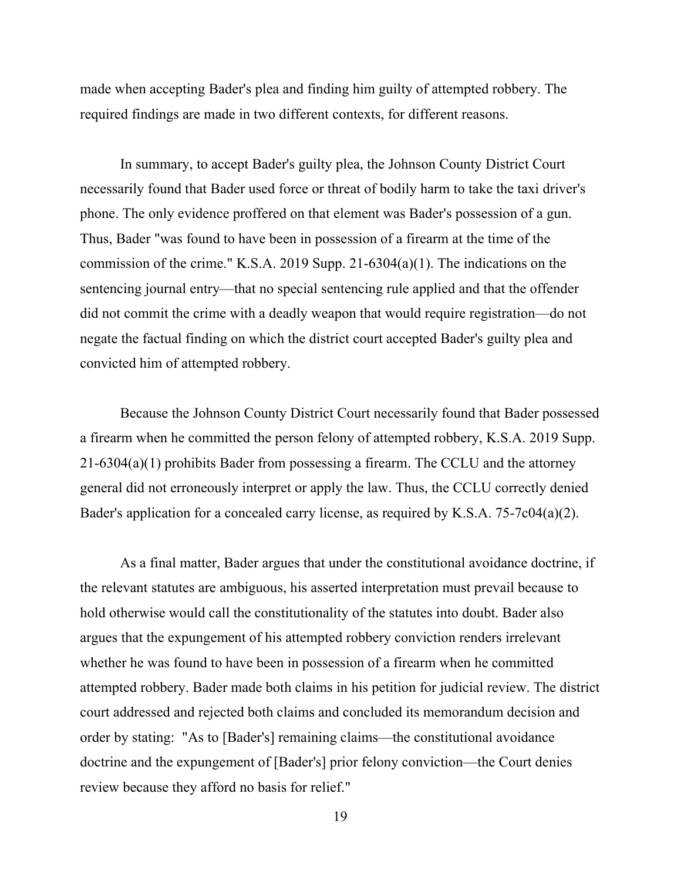made when accepting Bader's plea and finding him guilty of attempted robbery. The required findings are made in two different contexts, for different reasons.

In summary, to accept Bader's guilty plea, the Johnson County District Court necessarily found that Bader used force or threat of bodily harm to take the taxi driver's phone. The only evidence proffered on that element was Bader's possession of a gun. Thus, Bader "was found to have been in possession of a firearm at the time of the commission of the crime." K.S.A. 2019 Supp. 21-6304(a)(1). The indications on the sentencing journal entry—that no special sentencing rule applied and that the offender did not commit the crime with a deadly weapon that would require registration—do not negate the factual finding on which the district court accepted Bader's guilty plea and convicted him of attempted robbery.

Because the Johnson County District Court necessarily found that Bader possessed a firearm when he committed the person felony of attempted robbery, K.S.A. 2019 Supp. 21-6304(a)(1) prohibits Bader from possessing a firearm. The CCLU and the attorney general did not erroneously interpret or apply the law. Thus, the CCLU correctly denied Bader's application for a concealed carry license, as required by K.S.A. 75-7c04(a)(2).

As a final matter, Bader argues that under the constitutional avoidance doctrine, if the relevant statutes are ambiguous, his asserted interpretation must prevail because to hold otherwise would call the constitutionality of the statutes into doubt. Bader also argues that the expungement of his attempted robbery conviction renders irrelevant whether he was found to have been in possession of a firearm when he committed attempted robbery. Bader made both claims in his petition for judicial review. The district court addressed and rejected both claims and concluded its memorandum decision and order by stating: "As to [Bader's] remaining claims—the constitutional avoidance doctrine and the expungement of [Bader's] prior felony conviction—the Court denies review because they afford no basis for relief."